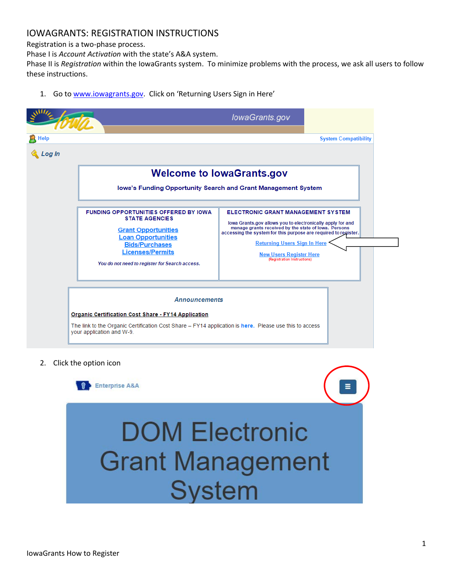### IOWAGRANTS: REGISTRATION INSTRUCTIONS

Registration is a two-phase process.

Phase I is *Account Activation* with the state's A&A system.

Phase II is *Registration* within the IowaGrants system. To minimize problems with the process, we ask all users to follow these instructions.

- lowaGrants.gov  $R$  Help **System Compatibility** & Log In **Welcome to lowaGrants.gov** lowa's Funding Opportunity Search and Grant Management System FUNDING OPPORTUNITIES OFFERED BY IOWA ELECTRONIC GRANT MANAGEMENT SYSTEM **STATE AGENCIES** lowa Grants.gov allows you to electronically apply for and manage grants received by the state of lowa. Persons **Grant Opportunities** accessing the system for this purpose are required to register. **Loan Opportunities Returning Users Sign In Here Bids/Purchases Licenses/Permits New Users Register Here** You do not need to register for Search access. **Announcements Organic Certification Cost Share - FY14 Application** The link to the Organic Certification Cost Share - FY14 application is here. Please use this to access your application and W-9.
- 1. Go to [www.iowagrants.gov.](http://www.iowagrants.gov/) Click on 'Returning Users Sign in Here'

2. Click the option icon

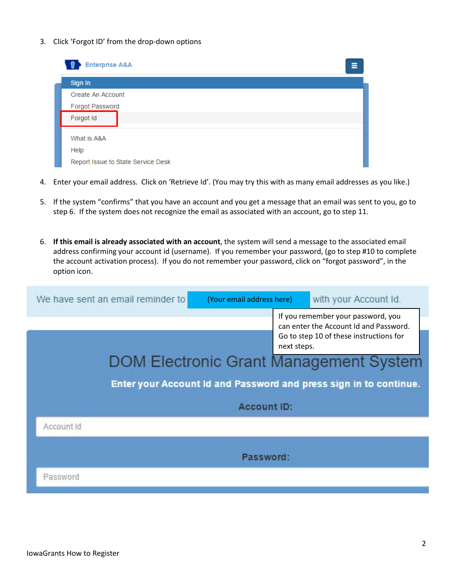3. Click 'Forgot ID' from the drop-down options

| <b>Enterprise A&amp;A</b><br>Ξ     |
|------------------------------------|
| Sign In                            |
| Create An Account                  |
| Forgot Password                    |
| Forgot Id                          |
|                                    |
| What is A&A                        |
| Help                               |
| Report Issue to State Service Desk |

- 4. Enter your email address. Click on 'Retrieve Id'. (You may try this with as many email addresses as you like.)
- 5. If the system "confirms" that you have an account and you get a message that an email was sent to you, go to step 6. If the system does not recognize the email as associated with an account, go to step 11.
- 6. **If this email is already associated with an account**, the system will send a message to the associated email address confirming your account id (username). If you remember your password, (go to step #10 to complete the account activation process). If you do not remember your password, click on "forgot password", in the option icon.

| We have sent an email reminder to | (Your email address here) |             | with your Account Id.                                                                                                   |
|-----------------------------------|---------------------------|-------------|-------------------------------------------------------------------------------------------------------------------------|
|                                   |                           | next steps. | If you remember your password, you<br>can enter the Account Id and Password.<br>Go to step 10 of these instructions for |
|                                   |                           |             | <b>DOM Electronic Grant Management System</b>                                                                           |
|                                   |                           |             | Enter your Account Id and Password and press sign in to continue.                                                       |
|                                   | <b>Account ID:</b>        |             |                                                                                                                         |
| Account Id                        |                           |             |                                                                                                                         |
|                                   | Password:                 |             |                                                                                                                         |
| Password                          |                           |             |                                                                                                                         |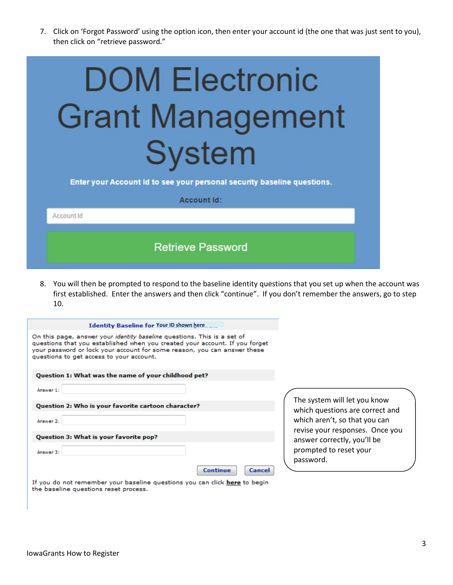7. Click on 'Forgot Password' using the option icon, then enter your account id (the one that was just sent to you), then click on "retrieve password."

| <b>DOM Electronic</b><br><b>Grant Management</b><br><b>System</b>                             |  |  |  |
|-----------------------------------------------------------------------------------------------|--|--|--|
| Enter your Account Id to see your personal security baseline questions.<br><b>Account Id:</b> |  |  |  |
| Account Id                                                                                    |  |  |  |
| <b>Retrieve Password</b>                                                                      |  |  |  |

8. You will then be prompted to respond to the baseline identity questions that you set up when the account was first established. Enter the answers and then click "continue". If you don't remember the answers, go to step 10.

| <b>Identity Baseline for Your ID shown here</b>                                                                                                                                                                                                                                       |
|---------------------------------------------------------------------------------------------------------------------------------------------------------------------------------------------------------------------------------------------------------------------------------------|
| On this page, answer your <i>identity baseline</i> questions. This is a set of<br>questions that you established when you created your account. If you forget<br>your password or lock your account for some reason, you can answer these<br>questions to get access to your account. |
| Question 1: What was the name of your childhood pet?                                                                                                                                                                                                                                  |
| Answer 1:                                                                                                                                                                                                                                                                             |
| Question 2: Who is your favorite cartoon character?                                                                                                                                                                                                                                   |
| Answer 2:                                                                                                                                                                                                                                                                             |
| Question 3: What is your favorite pop?                                                                                                                                                                                                                                                |
| Answer 3:<br><b>Continue</b><br>Cancel                                                                                                                                                                                                                                                |
|                                                                                                                                                                                                                                                                                       |

stem will let you know questions are correct and aren't, so that you can your responses. Once you r correctly, you'll be ted to reset your ord.

If you do not remember your baseline questions you can click here to begin the baseline questions reset process.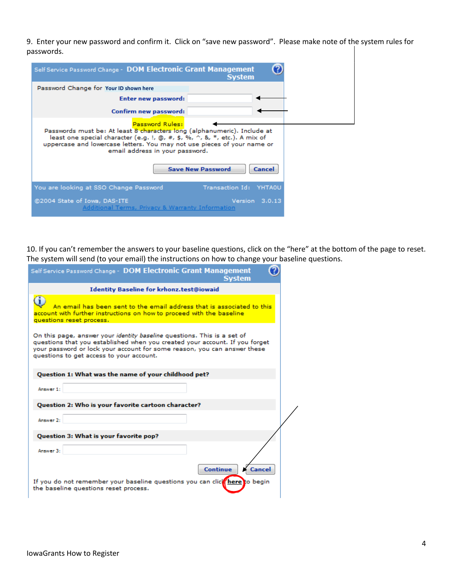9. Enter your new password and confirm it. Click on "save new password". Please make note of the system rules for passwords.

| Self Service Password Change - DOM Electronic Grant Management                                                                                                                                                                                                                                                                | <b>System</b>          |  |  |
|-------------------------------------------------------------------------------------------------------------------------------------------------------------------------------------------------------------------------------------------------------------------------------------------------------------------------------|------------------------|--|--|
| Password Change for Your ID shown here                                                                                                                                                                                                                                                                                        |                        |  |  |
| <b>Enter new password:</b>                                                                                                                                                                                                                                                                                                    |                        |  |  |
| Confirm new password:                                                                                                                                                                                                                                                                                                         |                        |  |  |
| Password Rules:<br>Passwords must be: At least 8 characters long (alphanumeric). Include at<br>least one special character (e.g. !, @, #, \$, %, ^, &, *, etc.). A mix of<br>uppercase and lowercase letters. You may not use pieces of your name or<br>email address in your password.<br><b>Save New Password</b><br>Cancel |                        |  |  |
| You are looking at SSO Change Password                                                                                                                                                                                                                                                                                        | Transaction Id: YHTAOU |  |  |
| @2004 State of Iowa, DAS-ITE<br>Additional Terms, Privacy & Warranty Information                                                                                                                                                                                                                                              | Version 3.0.13         |  |  |

10. If you can't remember the answers to your baseline questions, click on the "here" at the bottom of the page to reset. The system will send (to your email) the instructions on how to change your baseline questions.

| Self Service Password Change - DOM Electronic Grant Management<br><b>System</b>                                                                                                                                                                                                |  |  |  |
|--------------------------------------------------------------------------------------------------------------------------------------------------------------------------------------------------------------------------------------------------------------------------------|--|--|--|
| Identity Baseline for krhonz.test@iowaid                                                                                                                                                                                                                                       |  |  |  |
| An email has been sent to the email address that is associated to this<br>account with further instructions on how to proceed with the baseline<br>questions reset process.                                                                                                    |  |  |  |
| On this page, answer your identity baseline questions. This is a set of<br>questions that you established when you created your account. If you forget<br>your password or lock your account for some reason, you can answer these<br>questions to get access to your account. |  |  |  |
| Question 1: What was the name of your childhood pet?                                                                                                                                                                                                                           |  |  |  |
| Answer 1:                                                                                                                                                                                                                                                                      |  |  |  |
| Question 2: Who is your favorite cartoon character?                                                                                                                                                                                                                            |  |  |  |
| Answer 2:                                                                                                                                                                                                                                                                      |  |  |  |
| Question 3: What is your favorite pop?                                                                                                                                                                                                                                         |  |  |  |
| Answer 3:                                                                                                                                                                                                                                                                      |  |  |  |
| <b>Continue</b><br><b>Cancel</b>                                                                                                                                                                                                                                               |  |  |  |
| If you do not remember your baseline questions you can click here to begin<br>the baseline questions reset process.                                                                                                                                                            |  |  |  |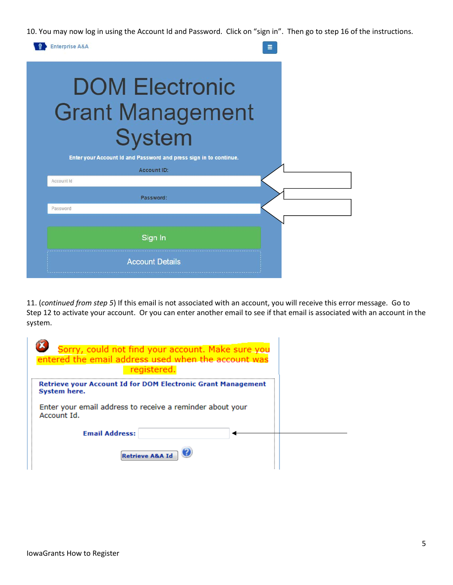10. You may now log in using the Account Id and Password. Click on "sign in". Then go to step 16 of the instructions.



11. (*continued from step 5*) If this email is not associated with an account, you will receive this error message. Go to Step 12 to activate your account. Or you can enter another email to see if that email is associated with an account in the system.

| Sorry, could not find your account. Make sure you<br>entered the email address used when the account was<br>registered.                                  |  |
|----------------------------------------------------------------------------------------------------------------------------------------------------------|--|
| Retrieve your Account Id for DOM Electronic Grant Management<br>System here.<br>Enter your email address to receive a reminder about your<br>Account Id. |  |
| <b>Email Address:</b>                                                                                                                                    |  |
| Retrieve A&A Id                                                                                                                                          |  |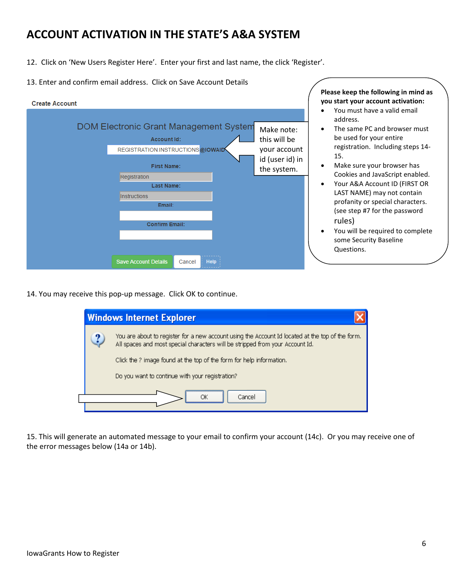## **ACCOUNT ACTIVATION IN THE STATE'S A&A SYSTEM**

- 12. Click on 'New Users Register Here'. Enter your first and last name, the click 'Register'.
- 13. Enter and confirm email address. Click on Save Account Details

| <b>Create Account</b> |                                                                                                         |                                            |
|-----------------------|---------------------------------------------------------------------------------------------------------|--------------------------------------------|
|                       | <b>DOM Electronic Grant Management System</b><br><b>Account Id:</b><br>REGISTRATION.INSTRUCTIONS@IOWAID | Make note:<br>this will be<br>your account |
|                       | <b>First Name:</b><br>Registration                                                                      | id (user id) in<br>the system.             |
|                       | <b>Last Name:</b><br><b>Instructions</b>                                                                |                                            |
|                       | Email:                                                                                                  |                                            |
|                       | <b>Confirm Email:</b>                                                                                   |                                            |
|                       | <b>Save Account Details</b><br><b>Help</b><br>Cancel                                                    |                                            |

**Please keep the following in mind as you start your account activation:**

- You must have a valid email address.
- The same PC and browser must be used for your entire registration. Including steps 14- 15.
- Make sure your browser has Cookies and JavaScript enabled.
- Your A&A Account ID (FIRST OR LAST NAME) may not contain profanity or special characters. (see step #7 for the password rules)
- You will be required to complete some Security Baseline Questions.

14. You may receive this pop-up message. Click OK to continue.

|                                                 | <b>Windows Internet Explorer</b>                                                                                                                                                  |  |  |
|-------------------------------------------------|-----------------------------------------------------------------------------------------------------------------------------------------------------------------------------------|--|--|
| 9                                               | You are about to register for a new account using the Account Id located at the top of the form.<br>All spaces and most special characters will be stripped from your Account Id. |  |  |
|                                                 | Click the ? image found at the top of the form for help information.                                                                                                              |  |  |
| Do you want to continue with your registration? |                                                                                                                                                                                   |  |  |
|                                                 | Cancel<br>OК                                                                                                                                                                      |  |  |
|                                                 |                                                                                                                                                                                   |  |  |

15. This will generate an automated message to your email to confirm your account (14c). Or you may receive one of the error messages below (14a or 14b).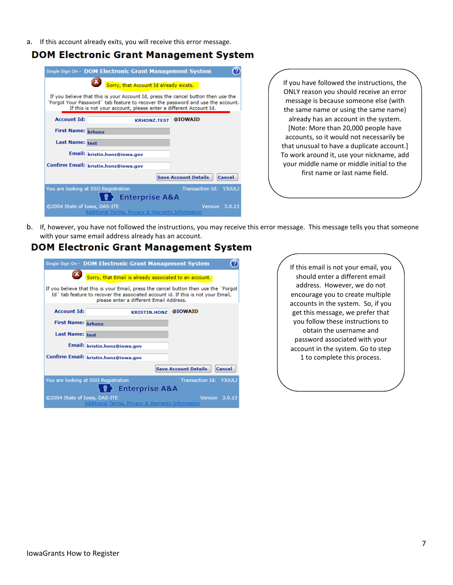a. If this account already exits, you will receive this error message.

### **DOM Electronic Grant Management System**

|                                                                                                                                                                                                                                           | Single Sign On - DOM Electronic Grant Management System                                    |  |  |
|-------------------------------------------------------------------------------------------------------------------------------------------------------------------------------------------------------------------------------------------|--------------------------------------------------------------------------------------------|--|--|
| Sorry, that Account Id already exists.                                                                                                                                                                                                    |                                                                                            |  |  |
| If you believe that this is your Account Id, press the cancel button then use the<br>Forgot Your Password ' tab feature to recover the password and use the account.<br>If this is not your account, please enter a different Account Id. |                                                                                            |  |  |
| <b>Account Id:</b>                                                                                                                                                                                                                        | @IOWAID<br><b>KRHONZ.TEST</b>                                                              |  |  |
| First Name: krhonz                                                                                                                                                                                                                        |                                                                                            |  |  |
| <b>Last Name: test</b>                                                                                                                                                                                                                    |                                                                                            |  |  |
|                                                                                                                                                                                                                                           | Email: kristin.honz@iowa.gov                                                               |  |  |
|                                                                                                                                                                                                                                           | Confirm Email: kristin.honz@iowa.gov                                                       |  |  |
|                                                                                                                                                                                                                                           | <b>Save Account Details</b><br>Cancel                                                      |  |  |
|                                                                                                                                                                                                                                           | Transaction Id: YJUULJ<br>You are looking at SSO Registration<br><b>Enterprise A&amp;A</b> |  |  |
| ©2004 State of Iowa, DAS-ITE                                                                                                                                                                                                              | Version 3.0.13<br>Additional Terms, Privacy & Warranty Information                         |  |  |

If you have followed the instructions, the ONLY reason you should receive an error message is because someone else (with the same name or using the same name) already has an account in the system. [Note: More than 20,000 people have accounts, so it would not necessarily be that unusual to have a duplicate account.] To work around it, use your nickname, add your middle name or middle initial to the first name or last name field.

b. If, however, you have not followed the instructions, you may receive this error message. This message tells you that someone with your same email address already has an account.

### **DOM Electronic Grant Management System**

|                                                                                                                                                                                                                     | Single Sign On - DOM Electronic Grant Management System |                                       |  |
|---------------------------------------------------------------------------------------------------------------------------------------------------------------------------------------------------------------------|---------------------------------------------------------|---------------------------------------|--|
| Sorry, that Email is already associated to an account.                                                                                                                                                              |                                                         |                                       |  |
| If you believe that this is your Email, press the cancel button then use the 'Forgot<br>Id' tab feature to recover the associated account id. If this is not your Email,<br>please enter a different Email Address. |                                                         |                                       |  |
| <b>Account Id:</b>                                                                                                                                                                                                  | <b>KRISTIN.HONZ</b>                                     | @IOWAID                               |  |
| <b>First Name: krhonz</b>                                                                                                                                                                                           |                                                         |                                       |  |
| <b>Last Name: test</b>                                                                                                                                                                                              |                                                         |                                       |  |
|                                                                                                                                                                                                                     | Email: kristin.honz@iowa.gov                            |                                       |  |
|                                                                                                                                                                                                                     | Confirm Email: kristin.honz@iowa.gov                    |                                       |  |
|                                                                                                                                                                                                                     |                                                         | <b>Save Account Details</b><br>Cancel |  |
| Transaction Id: YJUULJ<br>You are looking at SSO Registration<br><b>Enterprise A&amp;A</b>                                                                                                                          |                                                         |                                       |  |
| Version 3.0.13<br>©2004 State of Iowa, DAS-ITE<br>Additional Terms, Privacy & Warranty Information                                                                                                                  |                                                         |                                       |  |

If this email is not your email, you should enter a different email address. However, we do not encourage you to create multiple accounts in the system. So, if you get this message, we prefer that you follow these instructions to obtain the username and password associated with your account in the system. Go to step 1 to complete this process.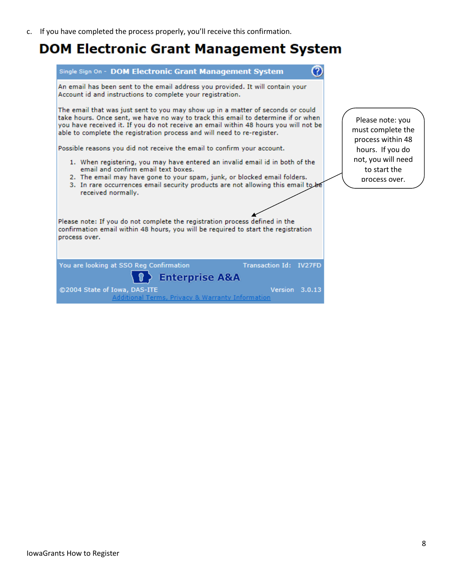c. If you have completed the process properly, you'll receive this confirmation.

## **DOM Electronic Grant Management System**

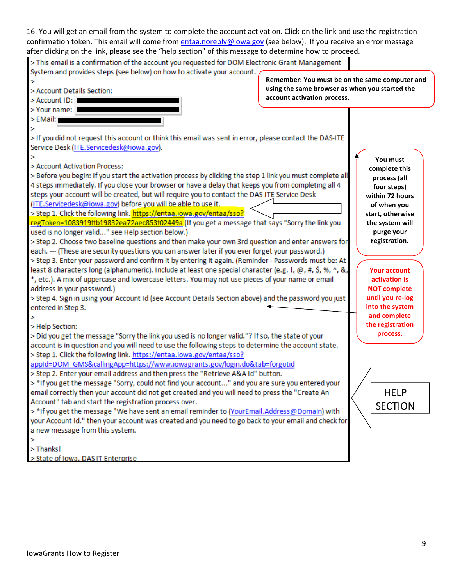| 16. You will get an email from the system to complete the account activation. Click on the link and use the registration                                                                                                                                                                                                                                                                                                                                                                                                                                                                                                                                                                                                                                                                                                                                                                                                                                                                                                                                                                                                                                                                                          |                                                                               |                                                                                                                                                                                                                                 |
|-------------------------------------------------------------------------------------------------------------------------------------------------------------------------------------------------------------------------------------------------------------------------------------------------------------------------------------------------------------------------------------------------------------------------------------------------------------------------------------------------------------------------------------------------------------------------------------------------------------------------------------------------------------------------------------------------------------------------------------------------------------------------------------------------------------------------------------------------------------------------------------------------------------------------------------------------------------------------------------------------------------------------------------------------------------------------------------------------------------------------------------------------------------------------------------------------------------------|-------------------------------------------------------------------------------|---------------------------------------------------------------------------------------------------------------------------------------------------------------------------------------------------------------------------------|
| confirmation token. This email will come from entaa.noreply@iowa.gov (see below). If you receive an error message<br>after clicking on the link, please see the "help section" of this message to determine how to proceed.                                                                                                                                                                                                                                                                                                                                                                                                                                                                                                                                                                                                                                                                                                                                                                                                                                                                                                                                                                                       |                                                                               |                                                                                                                                                                                                                                 |
| > This email is a confirmation of the account you requested for DOM Electronic Grant Management                                                                                                                                                                                                                                                                                                                                                                                                                                                                                                                                                                                                                                                                                                                                                                                                                                                                                                                                                                                                                                                                                                                   |                                                                               |                                                                                                                                                                                                                                 |
| System and provides steps (see below) on how to activate your account.                                                                                                                                                                                                                                                                                                                                                                                                                                                                                                                                                                                                                                                                                                                                                                                                                                                                                                                                                                                                                                                                                                                                            | Remember: You must be on the same computer and                                |                                                                                                                                                                                                                                 |
| > Account Details Section:<br>> Account ID: I                                                                                                                                                                                                                                                                                                                                                                                                                                                                                                                                                                                                                                                                                                                                                                                                                                                                                                                                                                                                                                                                                                                                                                     | using the same browser as when you started the<br>account activation process. |                                                                                                                                                                                                                                 |
| > Your name: I                                                                                                                                                                                                                                                                                                                                                                                                                                                                                                                                                                                                                                                                                                                                                                                                                                                                                                                                                                                                                                                                                                                                                                                                    |                                                                               |                                                                                                                                                                                                                                 |
| > EMail:                                                                                                                                                                                                                                                                                                                                                                                                                                                                                                                                                                                                                                                                                                                                                                                                                                                                                                                                                                                                                                                                                                                                                                                                          |                                                                               |                                                                                                                                                                                                                                 |
| > If you did not request this account or think this email was sent in error, please contact the DAS-ITE                                                                                                                                                                                                                                                                                                                                                                                                                                                                                                                                                                                                                                                                                                                                                                                                                                                                                                                                                                                                                                                                                                           |                                                                               |                                                                                                                                                                                                                                 |
| Service Desk (ITE.Servicedesk@iowa.gov).                                                                                                                                                                                                                                                                                                                                                                                                                                                                                                                                                                                                                                                                                                                                                                                                                                                                                                                                                                                                                                                                                                                                                                          |                                                                               |                                                                                                                                                                                                                                 |
| > Account Activation Process:<br>> Before you begin: If you start the activation process by clicking the step 1 link you must complete all<br>4 steps immediately. If you close your browser or have a delay that keeps you from completing all 4<br>steps your account will be created, but will require you to contact the DAS-ITE Service Desk<br>(ITE.Servicedesk@iowa.gov) before you will be able to use it.<br>> Step 1. Click the following link. https://entaa.iowa.gov/entaa/sso?<br>regToken=1083919ffb19832ea72aec853f02449a (If you get a message that says "Sorry the link you<br>used is no longer valid" see Help section below.)<br>> Step 2. Choose two baseline questions and then make your own 3rd question and enter answers for<br>each. --- (These are security questions you can answer later if you ever forget your password.)<br>> Step 3. Enter your password and confirm it by entering it again. (Reminder - Passwords must be: At<br>least 8 characters long (alphanumeric). Include at least one special character (e.g. !, @, #, \$, %, ^, &,<br>*, etc.). A mix of uppercase and lowercase letters. You may not use pieces of your name or email<br>address in your password.) |                                                                               | You must<br>complete this<br>process (all<br>four steps)<br>within 72 hours<br>of when you<br>start, otherwise<br>the system will<br>purge your<br>registration.<br><b>Your account</b><br>activation is<br><b>NOT complete</b> |
| > Step 4. Sign in using your Account Id (see Account Details Section above) and the password you just<br>entered in Step 3.                                                                                                                                                                                                                                                                                                                                                                                                                                                                                                                                                                                                                                                                                                                                                                                                                                                                                                                                                                                                                                                                                       |                                                                               | until you re-log<br>into the system                                                                                                                                                                                             |
| ×<br>> Help Section:<br>> Did you get the message "Sorry the link you used is no longer valid."? If so, the state of your<br>account is in question and you will need to use the following steps to determine the account state.<br>> Step 1. Click the following link. https://entaa.iowa.gov/entaa/sso?<br>appId=DOM GMS&callingApp=https://www.iowagrants.gov/login.do&tab=forgotid<br>> Step 2. Enter your email address and then press the "Retrieve A&A Id" button.<br>> *If you get the message "Sorry, could not find your account" and you are sure you entered your<br>email correctly then your account did not get created and you will need to press the "Create An                                                                                                                                                                                                                                                                                                                                                                                                                                                                                                                                  |                                                                               | and complete<br>the registration<br>process.<br><b>HELP</b>                                                                                                                                                                     |
| Account" tab and start the registration process over.<br>> *If you get the message "We have sent an email reminder to (YourEmail.Address@Domain) with<br>your Account Id." then your account was created and you need to go back to your email and check for<br>a new message from this system.<br>$>$ Thanks!<br>> State of Iowa. DAS IT Enterprise                                                                                                                                                                                                                                                                                                                                                                                                                                                                                                                                                                                                                                                                                                                                                                                                                                                              |                                                                               | <b>SECTION</b>                                                                                                                                                                                                                  |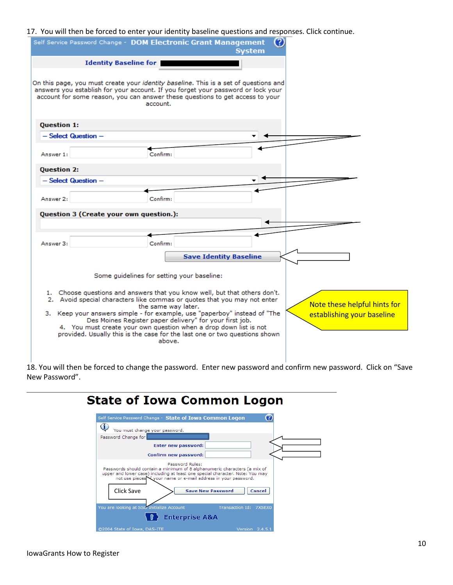#### 17. You will then be forced to enter your identity baseline questions and responses. Click continue.

| Ø<br>Self Service Password Change - DOM Electronic Grant Management<br><b>System</b>                                                                                                                                                                                                                                                                                                                                                                                               |                                                            |
|------------------------------------------------------------------------------------------------------------------------------------------------------------------------------------------------------------------------------------------------------------------------------------------------------------------------------------------------------------------------------------------------------------------------------------------------------------------------------------|------------------------------------------------------------|
| <b>Identity Baseline for</b>                                                                                                                                                                                                                                                                                                                                                                                                                                                       |                                                            |
| On this page, you must create your <i>identity baseline</i> . This is a set of questions and<br>answers you establish for your account. If you forget your password or lock your<br>account for some reason, you can answer these questions to get access to your<br>account.                                                                                                                                                                                                      |                                                            |
| <b>Question 1:</b>                                                                                                                                                                                                                                                                                                                                                                                                                                                                 |                                                            |
| - Select Question -                                                                                                                                                                                                                                                                                                                                                                                                                                                                |                                                            |
| Confirm:<br>Answer 1:                                                                                                                                                                                                                                                                                                                                                                                                                                                              |                                                            |
| <b>Question 2:</b>                                                                                                                                                                                                                                                                                                                                                                                                                                                                 |                                                            |
| - Select Question -                                                                                                                                                                                                                                                                                                                                                                                                                                                                |                                                            |
| Confirm:<br>Answer 2:                                                                                                                                                                                                                                                                                                                                                                                                                                                              |                                                            |
| Question 3 (Create your own question.):                                                                                                                                                                                                                                                                                                                                                                                                                                            |                                                            |
| Answer 3:<br>Confirm:<br><b>Save Identity Baseline</b>                                                                                                                                                                                                                                                                                                                                                                                                                             |                                                            |
| Some quidelines for setting your baseline:                                                                                                                                                                                                                                                                                                                                                                                                                                         |                                                            |
| 1. Choose questions and answers that you know well, but that others don't.<br>2. Avoid special characters like commas or quotes that you may not enter<br>the same way later.<br>3. Keep your answers simple - for example, use "paperboy" instead of "The<br>Des Moines Register paper delivery" for your first job.<br>4. You must create your own question when a drop down list is not<br>provided. Usually this is the case for the last one or two questions shown<br>above. | Note these helpful hints for<br>establishing your baseline |

18. You will then be forced to change the password. Enter new password and confirm new password. Click on "Save New Password".

| <b>State of Iowa Common Logon</b>                                                                                                                                                                                                                |  |
|--------------------------------------------------------------------------------------------------------------------------------------------------------------------------------------------------------------------------------------------------|--|
| Self Service Password Change - State of Iowa Common Logon                                                                                                                                                                                        |  |
| G)<br>You must change your password.                                                                                                                                                                                                             |  |
| Password Change for                                                                                                                                                                                                                              |  |
| <b>Enter new password:</b>                                                                                                                                                                                                                       |  |
| Confirm new password:                                                                                                                                                                                                                            |  |
| Password Rules:<br>Passwords should contain a minimum of 8 alphanumeric characters (a mix of<br>upper and lower case) including at least one special character. Note: You may<br>not use pieces of your name or e-mail address in your password. |  |
| Click Save<br><b>Save New Password</b><br>Cancel                                                                                                                                                                                                 |  |
| You are looking at SSO Initialize Account<br>Transaction Id: 7X5EX0                                                                                                                                                                              |  |
| <b>Enterprise A&amp;A</b>                                                                                                                                                                                                                        |  |
| ©2004 State of Iowa, DAS-ITE<br>Version $2.4.5.1$                                                                                                                                                                                                |  |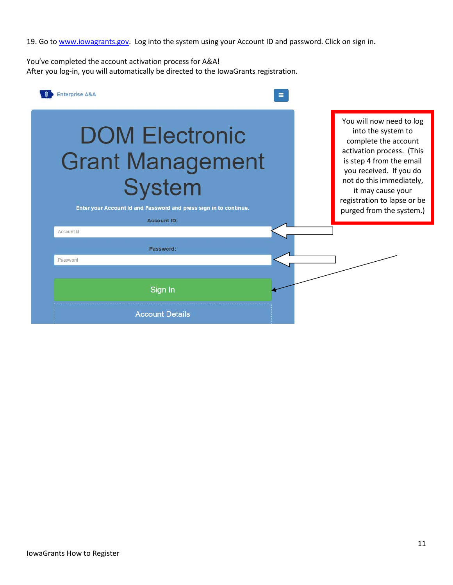19. Go t[o www.iowagrants.gov.](http://www.iowagrants.gov/) Log into the system using your Account ID and password. Click on sign in.

You've completed the account activation process for A&A! After you log-in, you will automatically be directed to the IowaGrants registration.

| <b>Enterprise A&amp;A</b>                                                                                                                                    |                                                                                                                                                                                                                                                                        |
|--------------------------------------------------------------------------------------------------------------------------------------------------------------|------------------------------------------------------------------------------------------------------------------------------------------------------------------------------------------------------------------------------------------------------------------------|
| <b>DOM Electronic</b><br><b>Grant Management</b><br><b>System</b><br>Enter your Account Id and Password and press sign in to continue.<br><b>Account ID:</b> | You will now need to log<br>into the system to<br>complete the account<br>activation process. (This<br>is step 4 from the email<br>you received. If you do<br>not do this immediately,<br>it may cause your<br>registration to lapse or be<br>purged from the system.) |
| Account Id                                                                                                                                                   |                                                                                                                                                                                                                                                                        |
| Password:                                                                                                                                                    |                                                                                                                                                                                                                                                                        |
| Password                                                                                                                                                     |                                                                                                                                                                                                                                                                        |
| Sign In                                                                                                                                                      |                                                                                                                                                                                                                                                                        |
| <b>Account Details</b>                                                                                                                                       |                                                                                                                                                                                                                                                                        |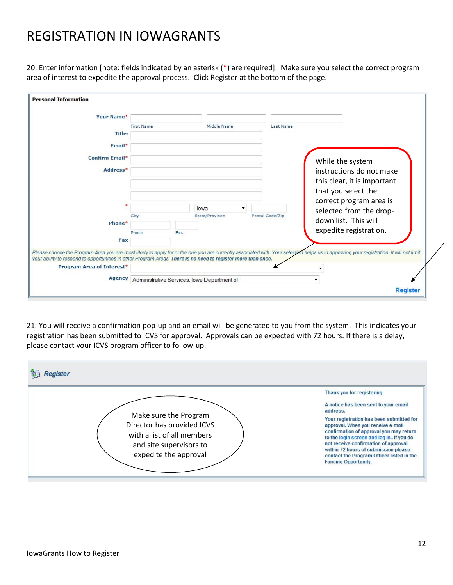# REGISTRATION IN IOWAGRANTS

20. Enter information [note: fields indicated by an asterisk (\*) are required]. Make sure you select the correct program area of interest to expedite the approval process. Click Register at the bottom of the page.

| Your Name*                                                                                                                                                                                                                                                                                               |                   |      |                                                    |                 |           |                                                    |  |
|----------------------------------------------------------------------------------------------------------------------------------------------------------------------------------------------------------------------------------------------------------------------------------------------------------|-------------------|------|----------------------------------------------------|-----------------|-----------|----------------------------------------------------|--|
|                                                                                                                                                                                                                                                                                                          | <b>First Name</b> |      | Middle Name                                        |                 | Last Name |                                                    |  |
| Title:                                                                                                                                                                                                                                                                                                   |                   |      |                                                    |                 |           |                                                    |  |
| Email*                                                                                                                                                                                                                                                                                                   |                   |      |                                                    |                 |           |                                                    |  |
| Confirm Email*                                                                                                                                                                                                                                                                                           |                   |      |                                                    |                 |           | While the system                                   |  |
| Address*                                                                                                                                                                                                                                                                                                 |                   |      |                                                    |                 |           | instructions do not make                           |  |
|                                                                                                                                                                                                                                                                                                          |                   |      |                                                    |                 |           | this clear, it is important                        |  |
|                                                                                                                                                                                                                                                                                                          |                   |      |                                                    |                 |           | that you select the                                |  |
|                                                                                                                                                                                                                                                                                                          |                   |      | lowa                                               |                 |           | correct program area is<br>selected from the drop- |  |
|                                                                                                                                                                                                                                                                                                          | City              |      | State/Province                                     | Postal Code/Zip |           | down list. This will                               |  |
| Phone*                                                                                                                                                                                                                                                                                                   |                   |      |                                                    |                 |           |                                                    |  |
|                                                                                                                                                                                                                                                                                                          | Phone             | Ext. |                                                    |                 |           | expedite registration.                             |  |
| Fax                                                                                                                                                                                                                                                                                                      |                   |      |                                                    |                 |           |                                                    |  |
| Please choose the Program Area you are most likely to apply for or the one you are currently associated with. Your selection helps us in approving your registration. It will not limit<br>your ability to respond to opportunities in other Program Areas. There is no need to register more than once. |                   |      |                                                    |                 |           |                                                    |  |
| <b>Program Area of Interest*</b>                                                                                                                                                                                                                                                                         |                   |      |                                                    |                 |           |                                                    |  |
|                                                                                                                                                                                                                                                                                                          |                   |      | Agency Administrative Services, Iowa Department of |                 |           |                                                    |  |

21. You will receive a confirmation pop-up and an email will be generated to you from the system. This indicates your registration has been submitted to ICVS for approval. Approvals can be expected with 72 hours. If there is a delay, please contact your ICVS program officer to follow-up.

| eaister                                                                                                                               |                                                                                                                                                                                                                                                                                                                                  |
|---------------------------------------------------------------------------------------------------------------------------------------|----------------------------------------------------------------------------------------------------------------------------------------------------------------------------------------------------------------------------------------------------------------------------------------------------------------------------------|
|                                                                                                                                       | Thank you for registering.                                                                                                                                                                                                                                                                                                       |
|                                                                                                                                       | A notice has been sent to your email<br>address.                                                                                                                                                                                                                                                                                 |
| Make sure the Program<br>Director has provided ICVS<br>with a list of all members<br>and site supervisors to<br>expedite the approval | Your registration has been submitted for<br>approval. When you receive e-mail<br>confirmation of approval you may return<br>to the login screen and log in If you do<br>not receive confirmation of approval<br>within 72 hours of submission please<br>contact the Program Officer listed in the<br><b>Funding Opportunity.</b> |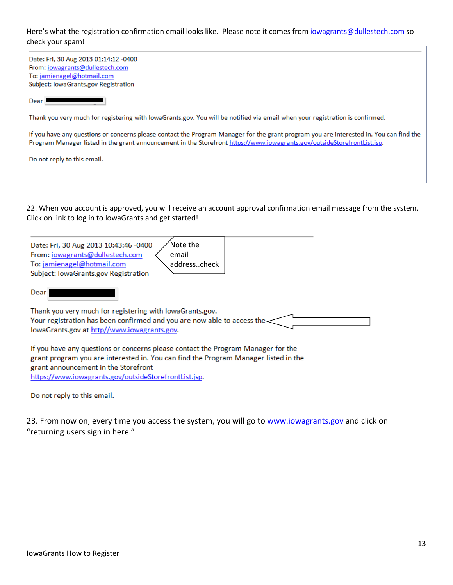#### Here's what the registration confirmation email looks like. Please note it comes fro[m iowagrants@dullestech.com](mailto:iowagrants@dullestech.com) so check your spam!

Date: Fri, 30 Aug 2013 01:14:12 -0400 From: iowagrants@dullestech.com To: jamienagel@hotmail.com Subject: IowaGrants.gov Registration

 $Dear$ 

Thank you very much for registering with lowaGrants.gov. You will be notified via email when your registration is confirmed.

If you have any questions or concerns please contact the Program Manager for the grant program you are interested in. You can find the Program Manager listed in the grant announcement in the Storefront https://www.iowagrants.gov/outsideStorefrontList.jsp.

Do not reply to this email.

22. When you account is approved, you will receive an account approval confirmation email message from the system. Click on link to log in to IowaGrants and get started!

| Date: Fri, 30 Aug 2013 10:43:46 -0400<br>Note the                         |  |
|---------------------------------------------------------------------------|--|
| From: iowagrants@dullestech.com<br>email                                  |  |
| To: jamienagel@hotmail.com<br>addresscheck                                |  |
| Subject: IowaGrants.gov Registration                                      |  |
| Dear                                                                      |  |
| Thank you very much for registering with lowaGrants.gov.                  |  |
| Your registration has been confirmed and you are now able to access the < |  |

lowaGrants.gov at http//www.iowagrants.gov.

If you have any questions or concerns please contact the Program Manager for the grant program you are interested in. You can find the Program Manager listed in the grant announcement in the Storefront https://www.iowagrants.gov/outsideStorefrontList.jsp.

Do not reply to this email.

23. From now on, every time you access the system, you will go to www.jowagrants.gov and click on "returning users sign in here."